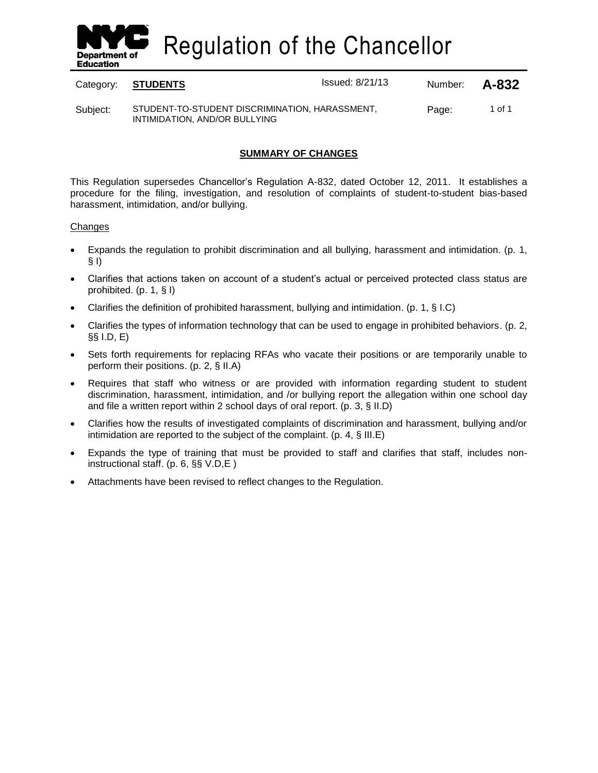

Regulation of the Chancellor

| Category: | STUDENTS                                                                        | <b>Issued: 8/21/13</b> | Number: | A-832  |
|-----------|---------------------------------------------------------------------------------|------------------------|---------|--------|
| Subject:  | STUDENT-TO-STUDENT DISCRIMINATION, HARASSMENT,<br>INTIMIDATION, AND/OR BULLYING |                        | Page:   | 1 of 1 |

## **SUMMARY OF CHANGES**

This Regulation supersedes Chancellor's Regulation A-832, dated October 12, 2011. It establishes a procedure for the filing, investigation, and resolution of complaints of student-to-student bias-based harassment, intimidation, and/or bullying.

#### **Changes**

- Expands the regulation to prohibit discrimination and all bullying, harassment and intimidation. (p. 1, § I)
- Clarifies that actions taken on account of a student's actual or perceived protected class status are prohibited. (p. 1, § I)
- Clarifies the definition of prohibited harassment, bullying and intimidation. (p. 1, § I.C)
- Clarifies the types of information technology that can be used to engage in prohibited behaviors. (p. 2, §§ I.D, E)
- Sets forth requirements for replacing RFAs who vacate their positions or are temporarily unable to perform their positions. (p. 2, § II.A)
- Requires that staff who witness or are provided with information regarding student to student discrimination, harassment, intimidation, and /or bullying report the allegation within one school day and file a written report within 2 school days of oral report. (p. 3, § II.D)
- Clarifies how the results of investigated complaints of discrimination and harassment, bullying and/or intimidation are reported to the subject of the complaint. (p. 4, § III.E)
- Expands the type of training that must be provided to staff and clarifies that staff, includes noninstructional staff. (p. 6, §§ V.D,E )
- Attachments have been revised to reflect changes to the Regulation.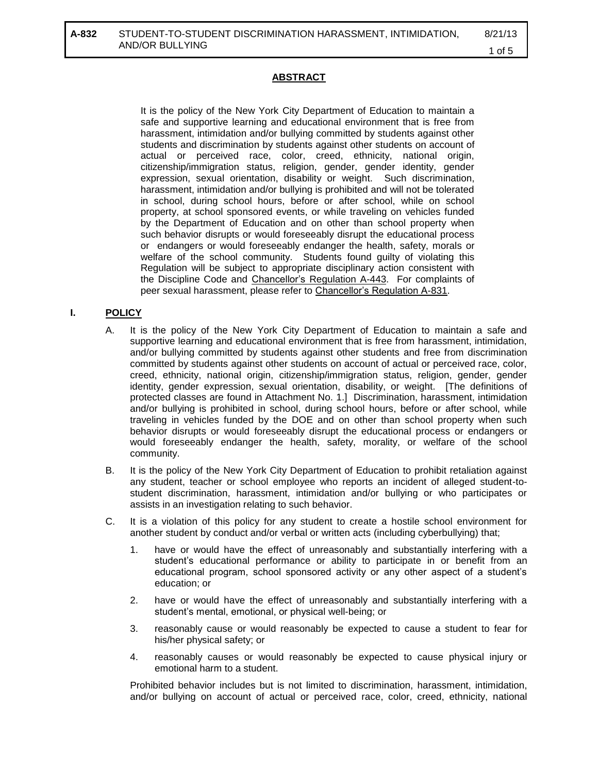## **ABSTRACT**

It is the policy of the New York City Department of Education to maintain a safe and supportive learning and educational environment that is free from harassment, intimidation and/or bullying committed by students against other students and discrimination by students against other students on account of actual or perceived race, color, creed, ethnicity, national origin, citizenship/immigration status, religion, gender, gender identity, gender expression, sexual orientation, disability or weight. Such discrimination, harassment, intimidation and/or bullying is prohibited and will not be tolerated in school, during school hours, before or after school, while on school property, at school sponsored events, or while traveling on vehicles funded by the Department of Education and on other than school property when such behavior disrupts or would foreseeably disrupt the educational process or endangers or would foreseeably endanger the health, safety, morals or welfare of the school community. Students found guilty of violating this Regulation will be subject to appropriate disciplinary action consistent with the Discipline Code and Chancellor's Regulation A-443. For complaints of peer sexual harassment, please refer to Chancellor's Regulation A-831.

## **I. POLICY**

- A. It is the policy of the New York City Department of Education to maintain a safe and supportive learning and educational environment that is free from harassment, intimidation, and/or bullying committed by students against other students and free from discrimination committed by students against other students on account of actual or perceived race, color, creed, ethnicity, national origin, citizenship/immigration status, religion, gender, gender identity, gender expression, sexual orientation, disability, or weight. [The definitions of protected classes are found in Attachment No. 1.] Discrimination, harassment, intimidation and/or bullying is prohibited in school, during school hours, before or after school, while traveling in vehicles funded by the DOE and on other than school property when such behavior disrupts or would foreseeably disrupt the educational process or endangers or would foreseeably endanger the health, safety, morality, or welfare of the school community.
- B. It is the policy of the New York City Department of Education to prohibit retaliation against any student, teacher or school employee who reports an incident of alleged student-tostudent discrimination, harassment, intimidation and/or bullying or who participates or assists in an investigation relating to such behavior.
- C. It is a violation of this policy for any student to create a hostile school environment for another student by conduct and/or verbal or written acts (including cyberbullying) that;
	- 1. have or would have the effect of unreasonably and substantially interfering with a student's educational performance or ability to participate in or benefit from an educational program, school sponsored activity or any other aspect of a student's education; or
	- 2. have or would have the effect of unreasonably and substantially interfering with a student's mental, emotional, or physical well-being; or
	- 3. reasonably cause or would reasonably be expected to cause a student to fear for his/her physical safety; or
	- 4. reasonably causes or would reasonably be expected to cause physical injury or emotional harm to a student.

Prohibited behavior includes but is not limited to discrimination, harassment, intimidation, and/or bullying on account of actual or perceived race, color, creed, ethnicity, national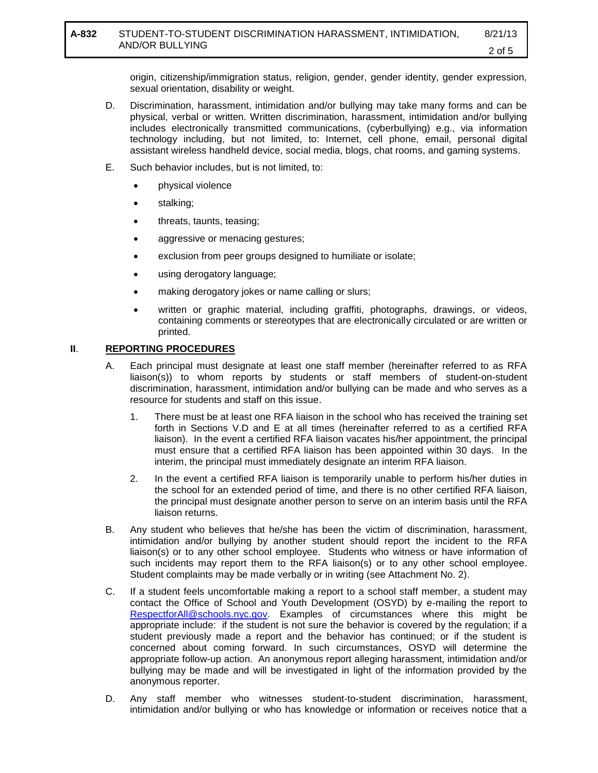origin, citizenship/immigration status, religion, gender, gender identity, gender expression, sexual orientation, disability or weight.

- D. Discrimination, harassment, intimidation and/or bullying may take many forms and can be physical, verbal or written. Written discrimination, harassment, intimidation and/or bullying includes electronically transmitted communications, (cyberbullying) e.g., via information technology including, but not limited, to: Internet, cell phone, email, personal digital assistant wireless handheld device, social media, blogs, chat rooms, and gaming systems.
- E. Such behavior includes, but is not limited, to:
	- physical violence
	- stalking;
	- threats, taunts, teasing;
	- aggressive or menacing gestures;
	- exclusion from peer groups designed to humiliate or isolate;
	- using derogatory language;
	- making derogatory jokes or name calling or slurs;
	- written or graphic material, including graffiti, photographs, drawings, or videos, containing comments or stereotypes that are electronically circulated or are written or printed.

### **II**. **REPORTING PROCEDURES**

- A. Each principal must designate at least one staff member (hereinafter referred to as RFA liaison(s)) to whom reports by students or staff members of student-on-student discrimination, harassment, intimidation and/or bullying can be made and who serves as a resource for students and staff on this issue.
	- 1. There must be at least one RFA liaison in the school who has received the training set forth in Sections V.D and E at all times (hereinafter referred to as a certified RFA liaison). In the event a certified RFA liaison vacates his/her appointment, the principal must ensure that a certified RFA liaison has been appointed within 30 days. In the interim, the principal must immediately designate an interim RFA liaison.
	- 2. In the event a certified RFA liaison is temporarily unable to perform his/her duties in the school for an extended period of time, and there is no other certified RFA liaison, the principal must designate another person to serve on an interim basis until the RFA liaison returns.
- B. Any student who believes that he/she has been the victim of discrimination, harassment, intimidation and/or bullying by another student should report the incident to the RFA liaison(s) or to any other school employee. Students who witness or have information of such incidents may report them to the RFA liaison(s) or to any other school employee. Student complaints may be made verbally or in writing (see Attachment No. 2).
- C. If a student feels uncomfortable making a report to a school staff member, a student may contact the Office of School and Youth Development (OSYD) by e-mailing the report to [RespectforAll@schools.nyc.gov.](mailto:RespectforAll@schools.nyc.gov) Examples of circumstances where this might be appropriate include: if the student is not sure the behavior is covered by the regulation; if a student previously made a report and the behavior has continued; or if the student is concerned about coming forward. In such circumstances, OSYD will determine the appropriate follow-up action. An anonymous report alleging harassment, intimidation and/or bullying may be made and will be investigated in light of the information provided by the anonymous reporter.
- D. Any staff member who witnesses student-to-student discrimination, harassment, intimidation and/or bullying or who has knowledge or information or receives notice that a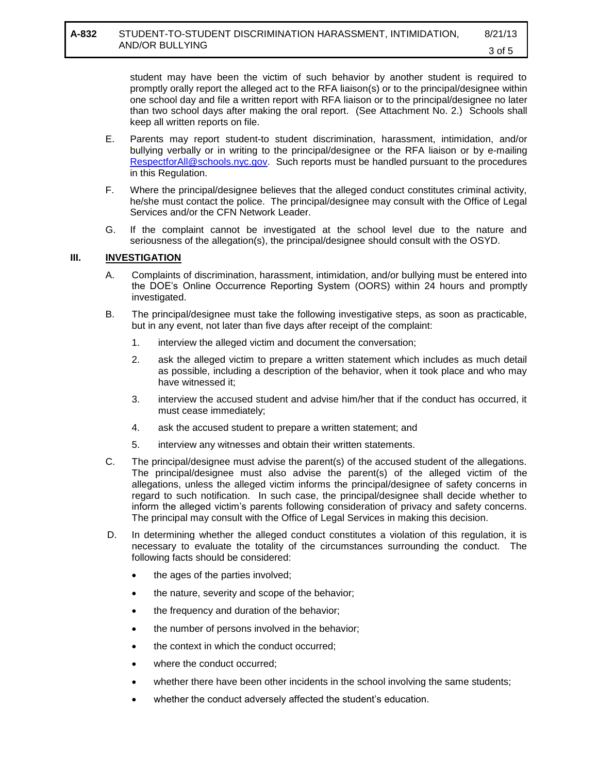student may have been the victim of such behavior by another student is required to promptly orally report the alleged act to the RFA liaison(s) or to the principal/designee within one school day and file a written report with RFA liaison or to the principal/designee no later than two school days after making the oral report. (See Attachment No. 2.) Schools shall keep all written reports on file.

- E. Parents may report student-to student discrimination, harassment, intimidation, and/or bullying verbally or in writing to the principal/designee or the RFA liaison or by e-mailing [RespectforAll@schools.nyc.gov.](mailto:RespectforAll@schools.nyc.gov) Such reports must be handled pursuant to the procedures in this Regulation.
- F. Where the principal/designee believes that the alleged conduct constitutes criminal activity, he/she must contact the police. The principal/designee may consult with the Office of Legal Services and/or the CFN Network Leader.
- G. If the complaint cannot be investigated at the school level due to the nature and seriousness of the allegation(s), the principal/designee should consult with the OSYD.

### **III. INVESTIGATION**

- A. Complaints of discrimination, harassment, intimidation, and/or bullying must be entered into the DOE's Online Occurrence Reporting System (OORS) within 24 hours and promptly investigated.
- B. The principal/designee must take the following investigative steps, as soon as practicable, but in any event, not later than five days after receipt of the complaint:
	- 1. interview the alleged victim and document the conversation;
	- 2. ask the alleged victim to prepare a written statement which includes as much detail as possible, including a description of the behavior, when it took place and who may have witnessed it;
	- 3. interview the accused student and advise him/her that if the conduct has occurred, it must cease immediately;
	- 4. ask the accused student to prepare a written statement; and
	- 5. interview any witnesses and obtain their written statements.
- C. The principal/designee must advise the parent(s) of the accused student of the allegations. The principal/designee must also advise the parent(s) of the alleged victim of the allegations, unless the alleged victim informs the principal/designee of safety concerns in regard to such notification. In such case, the principal/designee shall decide whether to inform the alleged victim's parents following consideration of privacy and safety concerns. The principal may consult with the Office of Legal Services in making this decision.
- D. In determining whether the alleged conduct constitutes a violation of this regulation, it is necessary to evaluate the totality of the circumstances surrounding the conduct. The following facts should be considered:
	- the ages of the parties involved;
	- the nature, severity and scope of the behavior;
	- the frequency and duration of the behavior;
	- the number of persons involved in the behavior;
	- the context in which the conduct occurred;
	- where the conduct occurred;
	- whether there have been other incidents in the school involving the same students;
	- whether the conduct adversely affected the student's education.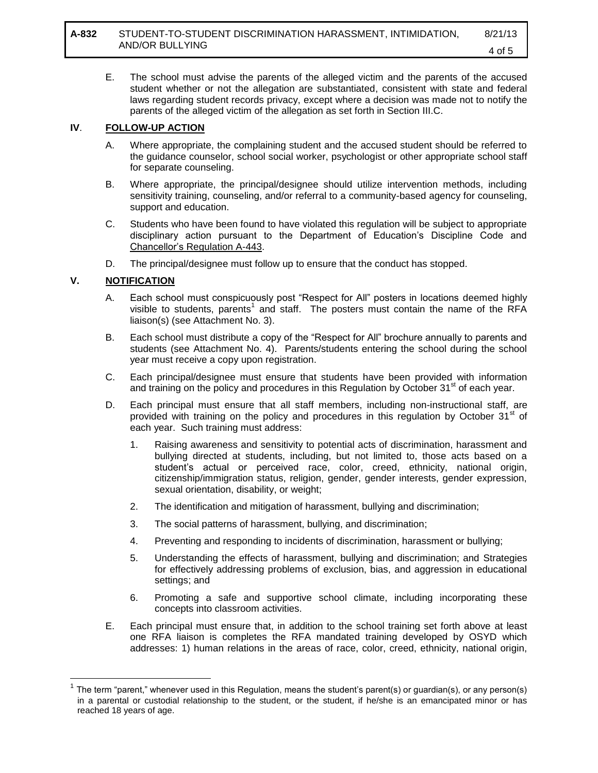E. The school must advise the parents of the alleged victim and the parents of the accused student whether or not the allegation are substantiated, consistent with state and federal laws regarding student records privacy, except where a decision was made not to notify the parents of the alleged victim of the allegation as set forth in Section III.C.

#### **IV**. **FOLLOW-UP ACTION**

- A. Where appropriate, the complaining student and the accused student should be referred to the guidance counselor, school social worker, psychologist or other appropriate school staff for separate counseling.
- B. Where appropriate, the principal/designee should utilize intervention methods, including sensitivity training, counseling, and/or referral to a community-based agency for counseling, support and education.
- C. Students who have been found to have violated this regulation will be subject to appropriate disciplinary action pursuant to the Department of Education's Discipline Code and Chancellor's Regulation A-443.
- D. The principal/designee must follow up to ensure that the conduct has stopped.

### **V. NOTIFICATION**

 $\overline{a}$ 

- A. Each school must conspicuously post "Respect for All" posters in locations deemed highly visible to students, parents<sup>1</sup> and staff. The posters must contain the name of the RFA liaison(s) (see Attachment No. 3).
- B. Each school must distribute a copy of the "Respect for All" brochure annually to parents and students (see Attachment No. 4). Parents/students entering the school during the school year must receive a copy upon registration.
- C. Each principal/designee must ensure that students have been provided with information and training on the policy and procedures in this Regulation by October  $31<sup>st</sup>$  of each year.
- D. Each principal must ensure that all staff members, including non-instructional staff, are provided with training on the policy and procedures in this regulation by October  $31<sup>st</sup>$  of each year. Such training must address:
	- 1. Raising awareness and sensitivity to potential acts of discrimination, harassment and bullying directed at students, including, but not limited to, those acts based on a student's actual or perceived race, color, creed, ethnicity, national origin, citizenship/immigration status, religion, gender, gender interests, gender expression, sexual orientation, disability, or weight;
	- 2. The identification and mitigation of harassment, bullying and discrimination;
	- 3. The social patterns of harassment, bullying, and discrimination;
	- 4. Preventing and responding to incidents of discrimination, harassment or bullying;
	- 5. Understanding the effects of harassment, bullying and discrimination; and Strategies for effectively addressing problems of exclusion, bias, and aggression in educational settings; and
	- 6. Promoting a safe and supportive school climate, including incorporating these concepts into classroom activities.
- E. Each principal must ensure that, in addition to the school training set forth above at least one RFA liaison is completes the RFA mandated training developed by OSYD which addresses: 1) human relations in the areas of race, color, creed, ethnicity, national origin,

<sup>1</sup> The term "parent," whenever used in this Regulation, means the student's parent(s) or guardian(s), or any person(s) in a parental or custodial relationship to the student, or the student, if he/she is an emancipated minor or has reached 18 years of age.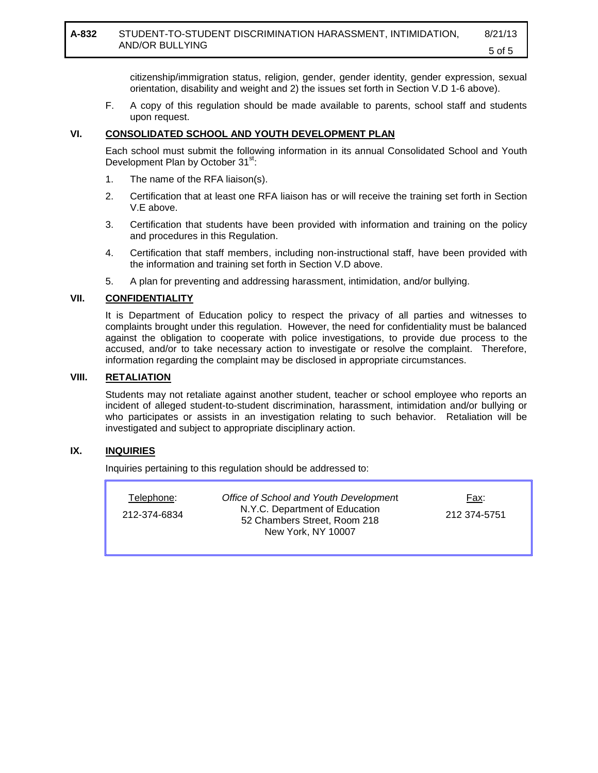### **A-832** STUDENT-TO-STUDENT DISCRIMINATION HARASSMENT, INTIMIDATION, AND/OR BULLYING

citizenship/immigration status, religion, gender, gender identity, gender expression, sexual orientation, disability and weight and 2) the issues set forth in Section V.D 1-6 above).

F. A copy of this regulation should be made available to parents, school staff and students upon request.

### **VI. CONSOLIDATED SCHOOL AND YOUTH DEVELOPMENT PLAN**

Each school must submit the following information in its annual Consolidated School and Youth Development Plan by October 31<sup>st</sup>:

- 1. The name of the RFA liaison(s).
- 2. Certification that at least one RFA liaison has or will receive the training set forth in Section V.E above.
- 3. Certification that students have been provided with information and training on the policy and procedures in this Regulation.
- 4. Certification that staff members, including non-instructional staff, have been provided with the information and training set forth in Section V.D above.
- 5. A plan for preventing and addressing harassment, intimidation, and/or bullying.

### **VII. CONFIDENTIALITY**

It is Department of Education policy to respect the privacy of all parties and witnesses to complaints brought under this regulation. However, the need for confidentiality must be balanced against the obligation to cooperate with police investigations, to provide due process to the accused, and/or to take necessary action to investigate or resolve the complaint. Therefore, information regarding the complaint may be disclosed in appropriate circumstances.

### **VIII. RETALIATION**

Students may not retaliate against another student, teacher or school employee who reports an incident of alleged student-to-student discrimination, harassment, intimidation and/or bullying or who participates or assists in an investigation relating to such behavior. Retaliation will be investigated and subject to appropriate disciplinary action.

### **IX. INQUIRIES**

Inquiries pertaining to this regulation should be addressed to:

| Telephone:   | Office of School and Youth Development                                               | Fax:         |
|--------------|--------------------------------------------------------------------------------------|--------------|
| 212-374-6834 | N.Y.C. Department of Education<br>52 Chambers Street, Room 218<br>New York, NY 10007 | 212 374-5751 |
|              |                                                                                      |              |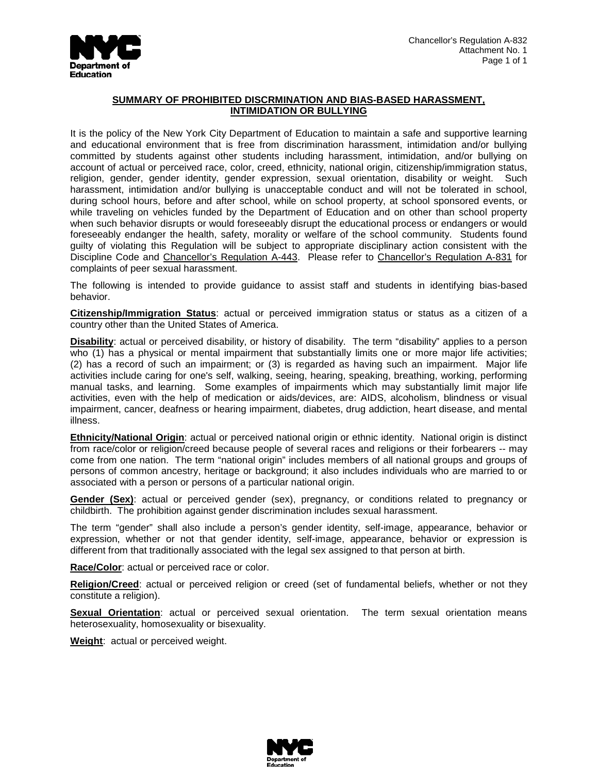

#### **SUMMARY OF PROHIBITED DISCRMINATION AND BIAS-BASED HARASSMENT, INTIMIDATION OR BULLYING**

It is the policy of the New York City Department of Education to maintain a safe and supportive learning and educational environment that is free from discrimination harassment, intimidation and/or bullying committed by students against other students including harassment, intimidation, and/or bullying on account of actual or perceived race, color, creed, ethnicity, national origin, citizenship/immigration status, religion, gender, gender identity, gender expression, sexual orientation, disability or weight. Such harassment, intimidation and/or bullying is unacceptable conduct and will not be tolerated in school, during school hours, before and after school, while on school property, at school sponsored events, or while traveling on vehicles funded by the Department of Education and on other than school property when such behavior disrupts or would foreseeably disrupt the educational process or endangers or would foreseeably endanger the health, safety, morality or welfare of the school community. Students found guilty of violating this Regulation will be subject to appropriate disciplinary action consistent with the Discipline Code and Chancellor's Regulation A-443. Please refer to Chancellor's Regulation A-831 for complaints of peer sexual harassment.

The following is intended to provide guidance to assist staff and students in identifying bias-based behavior.

**Citizenship/Immigration Status**: actual or perceived immigration status or status as a citizen of a country other than the United States of America.

**Disability**: actual or perceived disability, or history of disability. The term "disability" applies to a person who (1) has a physical or mental impairment that substantially limits one or more major life activities; (2) has a record of such an impairment; or (3) is regarded as having such an impairment. Major life activities include caring for one's self, walking, seeing, hearing, speaking, breathing, working, performing manual tasks, and learning. Some examples of impairments which may substantially limit major life activities, even with the help of medication or aids/devices, are: AIDS, alcoholism, blindness or visual impairment, cancer, deafness or hearing impairment, diabetes, drug addiction, heart disease, and mental illness.

**Ethnicity/National Origin**: actual or perceived national origin or ethnic identity. National origin is distinct from race/color or religion/creed because people of several races and religions or their forbearers -- may come from one nation. The term "national origin" includes members of all national groups and groups of persons of common ancestry, heritage or background; it also includes individuals who are married to or associated with a person or persons of a particular national origin.

**Gender (Sex)**: actual or perceived gender (sex), pregnancy, or conditions related to pregnancy or childbirth. The prohibition against gender discrimination includes sexual harassment.

The term "gender" shall also include a person's gender identity, self-image, appearance, behavior or expression, whether or not that gender identity, self-image, appearance, behavior or expression is different from that traditionally associated with the legal sex assigned to that person at birth.

**Race/Color**: actual or perceived race or color.

**Religion/Creed**: actual or perceived religion or creed (set of fundamental beliefs, whether or not they constitute a religion).

**Sexual Orientation**: actual or perceived sexual orientation. The term sexual orientation means heterosexuality, homosexuality or bisexuality.

**Weight**: actual or perceived weight.

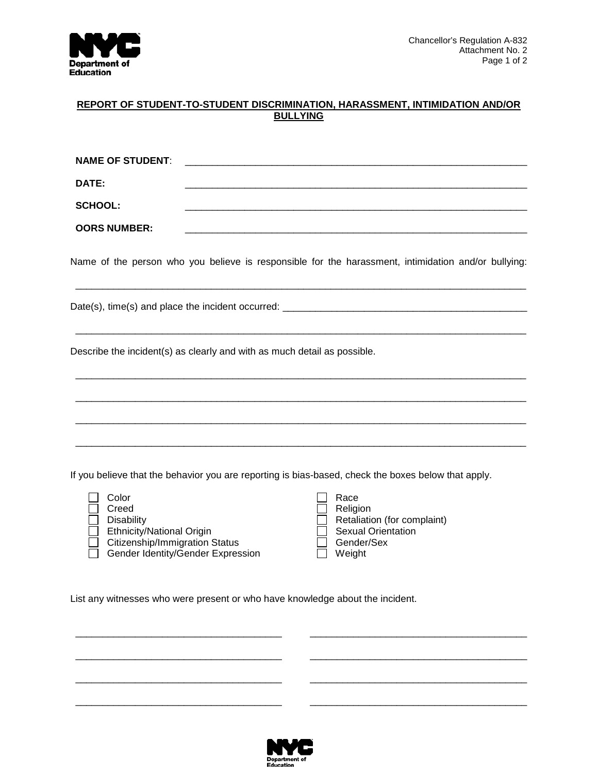

#### **REPORT OF STUDENT-TO-STUDENT DISCRIMINATION, HARASSMENT, INTIMIDATION AND/OR BULLYING**

| <b>NAME OF STUDENT:</b> |                                                                                                     |  |
|-------------------------|-----------------------------------------------------------------------------------------------------|--|
| DATE:                   |                                                                                                     |  |
| <b>SCHOOL:</b>          |                                                                                                     |  |
| <b>OORS NUMBER:</b>     |                                                                                                     |  |
|                         | Name of the person who you believe is responsible for the harassment, intimidation and/or bullying: |  |
|                         | Date(s), time(s) and place the incident occurred: ______________________________                    |  |

\_\_\_\_\_\_\_\_\_\_\_\_\_\_\_\_\_\_\_\_\_\_\_\_\_\_\_\_\_\_\_\_\_\_\_\_\_\_\_\_\_\_\_\_\_\_\_\_\_\_\_\_\_\_\_\_\_\_\_\_\_\_\_\_\_\_\_\_\_\_\_\_\_\_\_\_\_\_\_\_\_\_\_

\_\_\_\_\_\_\_\_\_\_\_\_\_\_\_\_\_\_\_\_\_\_\_\_\_\_\_\_\_\_\_\_\_\_\_\_\_\_\_\_\_\_\_\_\_\_\_\_\_\_\_\_\_\_\_\_\_\_\_\_\_\_\_\_\_\_\_\_\_\_\_\_\_\_\_\_\_\_\_\_\_\_\_

\_\_\_\_\_\_\_\_\_\_\_\_\_\_\_\_\_\_\_\_\_\_\_\_\_\_\_\_\_\_\_\_\_\_\_\_\_\_\_\_\_\_\_\_\_\_\_\_\_\_\_\_\_\_\_\_\_\_\_\_\_\_\_\_\_\_\_\_\_\_\_\_\_\_\_\_\_\_\_\_\_\_\_

\_\_\_\_\_\_\_\_\_\_\_\_\_\_\_\_\_\_\_\_\_\_\_\_\_\_\_\_\_\_\_\_\_\_\_\_\_\_\_\_\_\_\_\_\_\_\_\_\_\_\_\_\_\_\_\_\_\_\_\_\_\_\_\_\_\_\_\_\_\_\_\_\_\_\_\_\_\_\_\_\_\_\_

\_\_\_\_\_\_\_\_\_\_\_\_\_\_\_\_\_\_\_\_\_\_\_\_\_\_\_\_\_\_\_\_\_\_\_\_\_\_\_\_\_\_\_\_\_\_\_\_\_\_\_\_\_\_\_\_\_\_\_\_\_\_\_\_\_\_\_\_\_\_\_\_\_\_\_\_\_\_\_\_\_\_\_

Describe the incident(s) as clearly and with as much detail as possible.

If you believe that the behavior you are reporting is bias-based, check the boxes below that apply.

| Color                                 | Race                      |
|---------------------------------------|---------------------------|
| Creed                                 | Religion                  |
| <b>Disability</b>                     | Retaliation (for cor      |
| <b>Ethnicity/National Origin</b>      | <b>Sexual Orientation</b> |
| <b>Citizenship/Immigration Status</b> | Gender/Sex                |
| Gender Identity/Gender Expression     | Weight                    |

| Color<br>Creed                    | Race<br>Religion            |
|-----------------------------------|-----------------------------|
| <b>Disability</b>                 | Retaliation (for complaint) |
| <b>Ethnicity/National Origin</b>  | <b>Sexual Orientation</b>   |
| Citizenship/Immigration Status    | Gender/Sex                  |
| Gender Identity/Gender Expression | Weight                      |
|                                   |                             |

List any witnesses who were present or who have knowledge about the incident.



\_\_\_\_\_\_\_\_\_\_\_\_\_\_\_\_\_\_\_\_\_\_\_\_\_\_\_\_\_\_\_\_\_\_\_\_\_\_ \_\_\_\_\_\_\_\_\_\_\_\_\_\_\_\_\_\_\_\_\_\_\_\_\_\_\_\_\_\_\_\_\_\_\_\_\_\_\_\_

\_\_\_\_\_\_\_\_\_\_\_\_\_\_\_\_\_\_\_\_\_\_\_\_\_\_\_\_\_\_\_\_\_\_\_\_\_\_ \_\_\_\_\_\_\_\_\_\_\_\_\_\_\_\_\_\_\_\_\_\_\_\_\_\_\_\_\_\_\_\_\_\_\_\_\_\_\_\_

\_\_\_\_\_\_\_\_\_\_\_\_\_\_\_\_\_\_\_\_\_\_\_\_\_\_\_\_\_\_\_\_\_\_\_\_\_\_ \_\_\_\_\_\_\_\_\_\_\_\_\_\_\_\_\_\_\_\_\_\_\_\_\_\_\_\_\_\_\_\_\_\_\_\_\_\_\_\_

\_\_\_\_\_\_\_\_\_\_\_\_\_\_\_\_\_\_\_\_\_\_\_\_\_\_\_\_\_\_\_\_\_\_\_\_\_\_ \_\_\_\_\_\_\_\_\_\_\_\_\_\_\_\_\_\_\_\_\_\_\_\_\_\_\_\_\_\_\_\_\_\_\_\_\_\_\_\_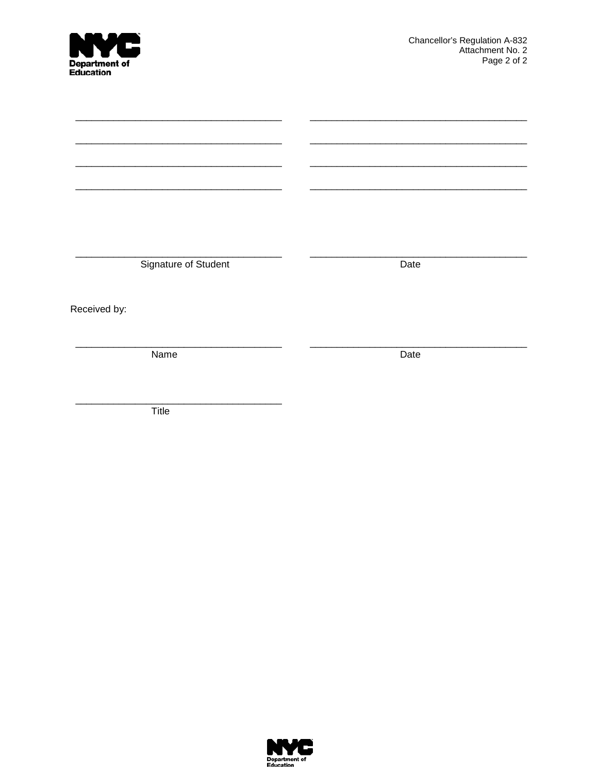| <b>NVC</b><br>Department of<br>Education | Chancellor's Regulation A-832<br>Attachment No. 2<br>Page 2 of 2 |  |  |
|------------------------------------------|------------------------------------------------------------------|--|--|
|                                          |                                                                  |  |  |
|                                          |                                                                  |  |  |
|                                          |                                                                  |  |  |
|                                          |                                                                  |  |  |
|                                          |                                                                  |  |  |
|                                          |                                                                  |  |  |
| Signature of Student                     | Date                                                             |  |  |
| Received by:                             |                                                                  |  |  |
| Name                                     | Date                                                             |  |  |
|                                          |                                                                  |  |  |

 $\overline{T}$ itle

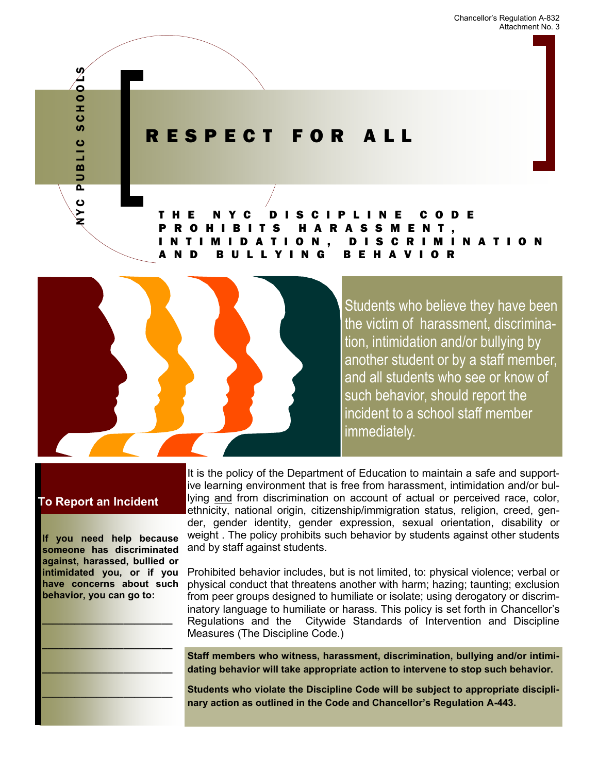Chancellor's Regulation A-832 Attachment No. 3

# R E S P E C T F O R A L L

T H E N Y C D I S C I P L I N E C O D E P R O H I B I T S H A R A S S M E N T , I N T I M I D A T I O N , D I S C R I M I N A T I O N G BEHAV



Students who believe they have been the victim of harassment, discrimination, intimidation and/or bullying by another student or by a staff member, and all students who see or know of such behavior, should report the incident to a school staff member immediately.

# **To Report an Incident**

N Y C P U B L I C S C H O O L S

PUBLIC

NYC

**SCHOOLS** 

**If you need help because someone has discriminated against, harassed, bullied or intimidated you, or if you have concerns about such behavior, you can go to:**

**\_\_\_\_\_\_\_\_\_\_\_\_\_\_\_\_\_\_\_\_\_\_\_\_**

**\_\_\_\_\_\_\_\_\_\_\_\_\_\_\_\_\_\_\_\_\_\_\_\_**

**\_\_\_\_\_\_\_\_\_\_\_\_\_\_\_\_\_\_\_\_\_\_\_\_**

**\_\_\_\_\_\_\_\_\_\_\_\_\_\_\_\_\_\_\_\_\_\_\_\_**

It is the policy of the Department of Education to maintain a safe and supportive learning environment that is free from harassment, intimidation and/or bullying and from discrimination on account of actual or perceived race, color, ethnicity, national origin, citizenship/immigration status, religion, creed, gender, gender identity, gender expression, sexual orientation, disability or weight . The policy prohibits such behavior by students against other students and by staff against students.

Prohibited behavior includes, but is not limited, to: physical violence; verbal or physical conduct that threatens another with harm; hazing; taunting; exclusion from peer groups designed to humiliate or isolate; using derogatory or discriminatory language to humiliate or harass. This policy is set forth in Chancellor's Regulations and the Citywide Standards of Intervention and Discipline Measures (The Discipline Code.)

**Staff members who witness, harassment, discrimination, bullying and/or intimidating behavior will take appropriate action to intervene to stop such behavior.** 

**Students who violate the Discipline Code will be subject to appropriate disciplinary action as outlined in the Code and Chancellor's Regulation A-443.**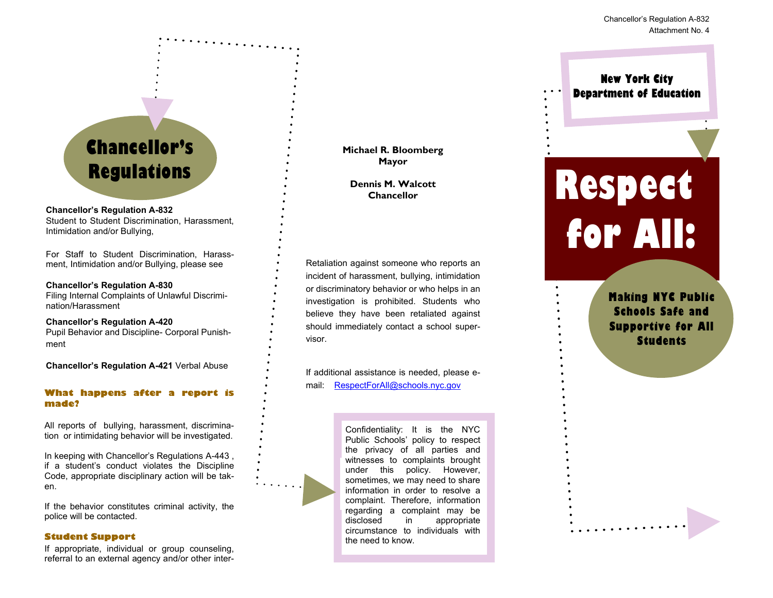**New York City Department of Education**

# **Chancellor's**

#### **Chancellor's Regulation A-832**

Student to Student Discrimination, Harassment, Intimidation and/or Bullying,

For Staff to Student Discrimination, Harassment, Intimidation and/or Bullying, please see

#### **Chancellor's Regulation A-830**

Filing Internal Complaints of Unlawful Discrimination/Harassment

**Chancellor's Regulation A-420** Pupil Behavior and Discipline- Corporal Punishment

**Chancellor's Regulation A-421** Verbal Abuse

#### **What happens after a report is made?**

All reports of bullying, harassment, discrimination or intimidating behavior will be investigated.

In keeping with Chancellor's Regulations A-443 , if a student's conduct violates the Discipline Code, appropriate disciplinary action will be taken.

If the behavior constitutes criminal activity, the police will be contacted.

#### **Student Support**

If appropriate, individual or group counseling, referral to an external agency and/or other inter**Michael R. Bloomberg Mayor**

**Dennis M. Walcott Chancellor**

Retaliation against someone who reports an incident of harassment, bullying, intimidation or discriminatory behavior or who helps in an investigation is prohibited. Students who believe they have been retaliated against should immediately contact a school supervisor.

If additional assistance is needed, please email: RespectForAll@schools.nyc.gov

> **PRESPECTED SEE SEE THE RESPECTATION** under this policy. However, sometimes, we may need to share information in order to resolve a complaint. Therefore, information regarding a complaint may be Confidentiality: It is the NYC Public Schools' policy to respect the privacy of all parties and witnesses to complaints brought disclosed in appropriate circumstance to individuals with the need to know.

# **Regulations Regulations Regulations Regulations Respectively for All:**

**Making NYC Public Schools Safe and Supportive for All Students**